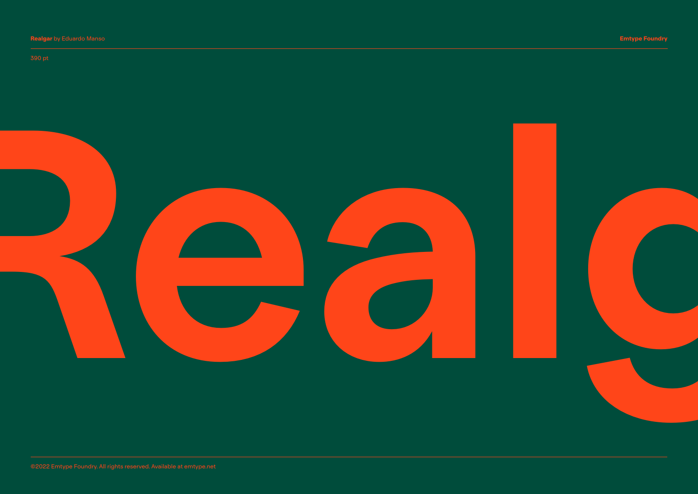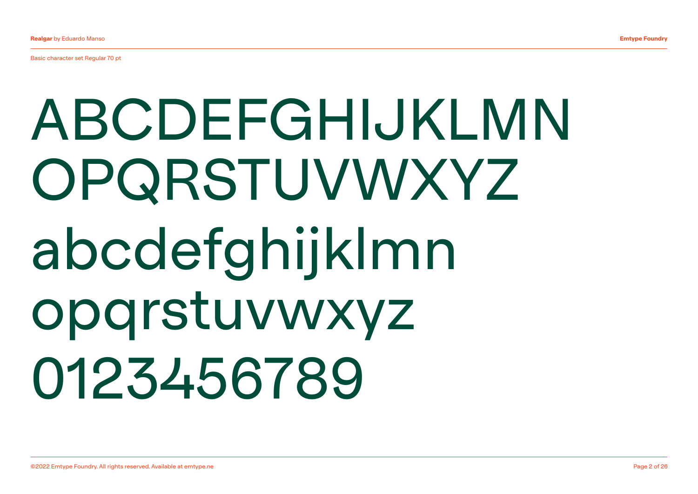Basic character set Regular 70 pt

## ABCDEFGHIJKLMN OPQRSTUVWXYZ abcdefghijklmn opqrstuvwxyz 0123456789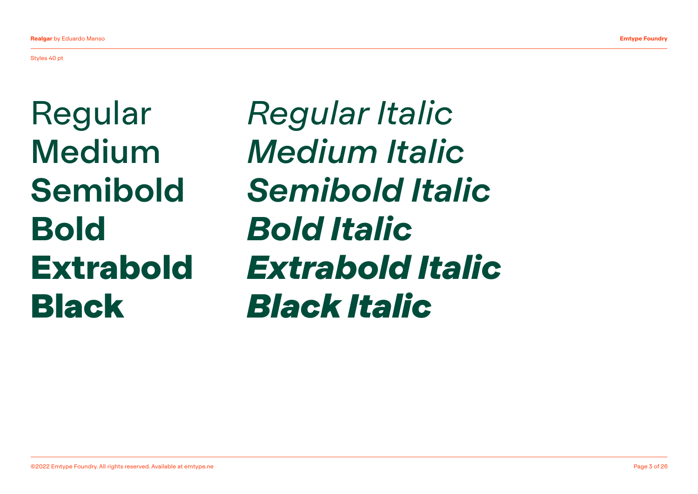Styles 40 pt

Regular Medium Semibold Bold Extrabold Black

*Regular Italic Medium Italic Semibold Italic Bold Italic Extrabold Italic Black Italic*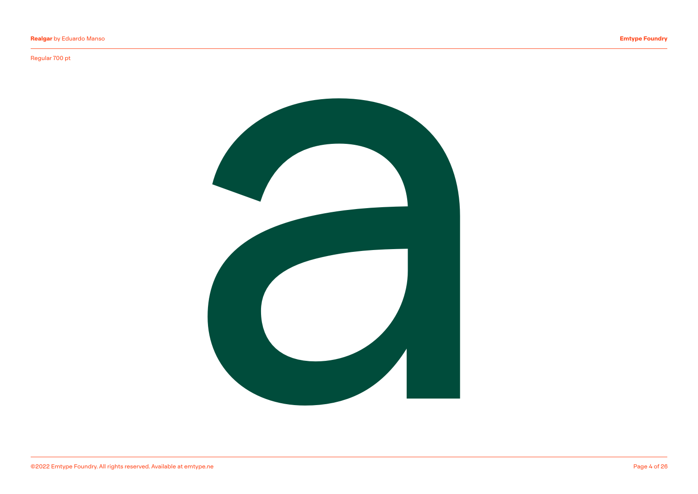## Regular 700 pt

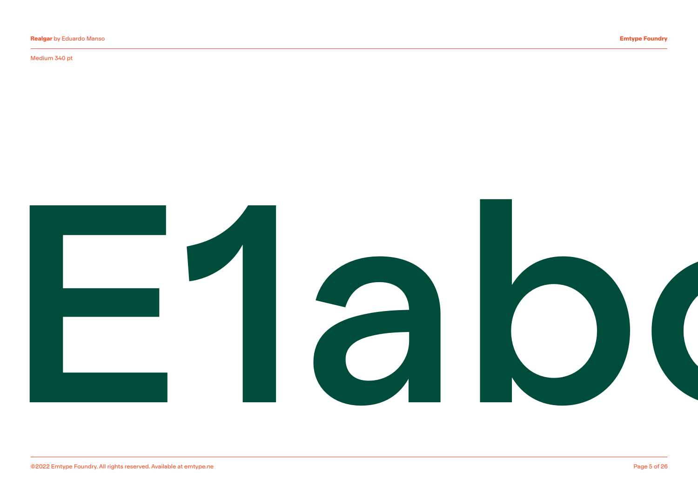## Medium 340 pt

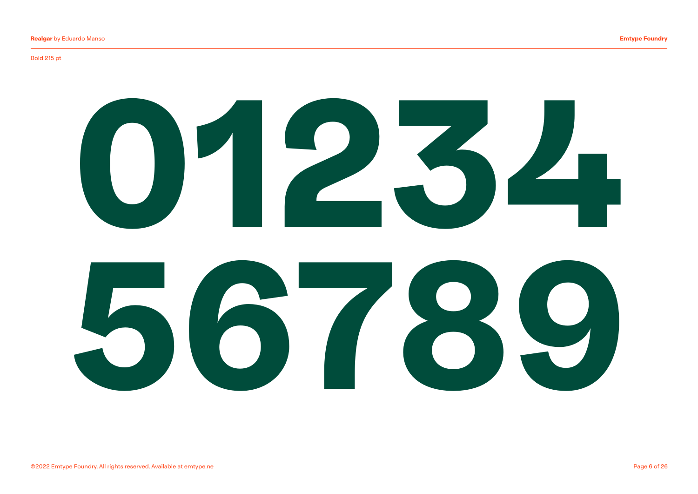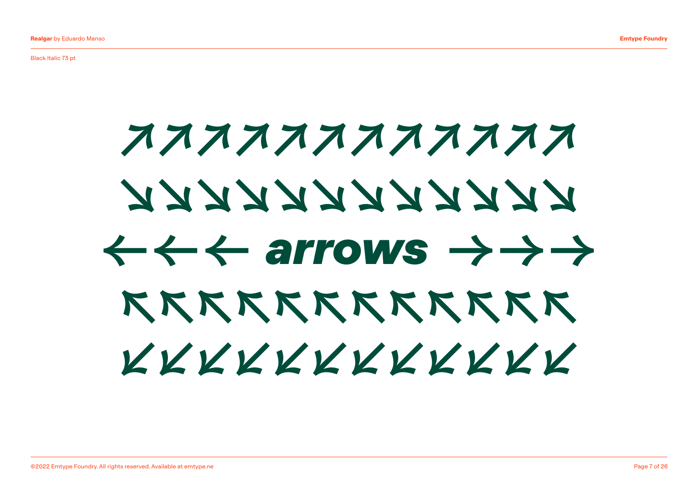Black Italic 73 pt

## ←←← arrows →→→ ↗↗↗↗↗↗↗↗↗↗↗↗ ↘↘↘↘↘↘↘↘↘↘↘↘ ↖↖↖↖↖↖↖↖↖↖↖↖ ↙↙↙↙↙↙↙↙↙↙↙↙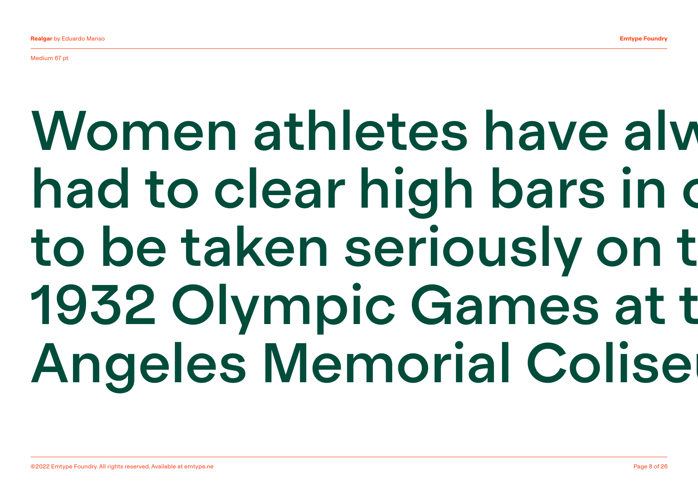Medium 67 pt

## Women athletes have alw had to clear high bars in o to be taken seriously on t 1932 Olympic Games at t **Angeles Memorial Colise**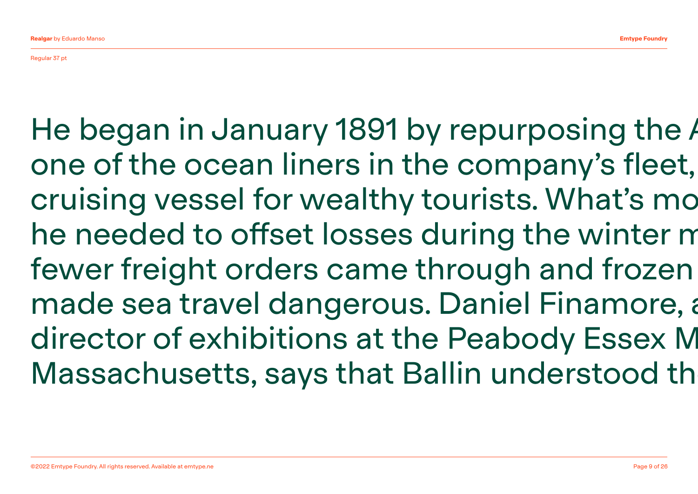Regular 37 pt

He began in January 1891 by repurposing the August one of the ocean liners in the company's fleet, cruising vessel for wealthy tourists. What's mo he needed to offset losses during the winter m fewer freight orders came through and frozen made sea travel dangerous. Daniel Finamore, a director of exhibitions at the Peabody Essex M Massachusetts, says that Ballin understood th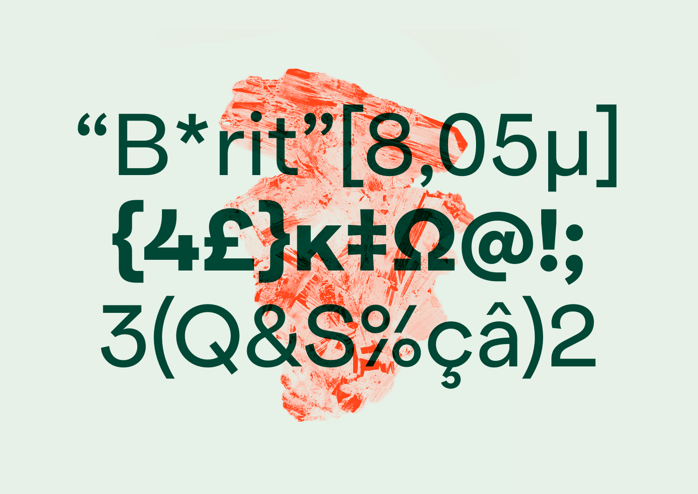# "B\*rit"[8,05μ] {4£}ĸ‡Ω@!; 3(Q&S%çâ)2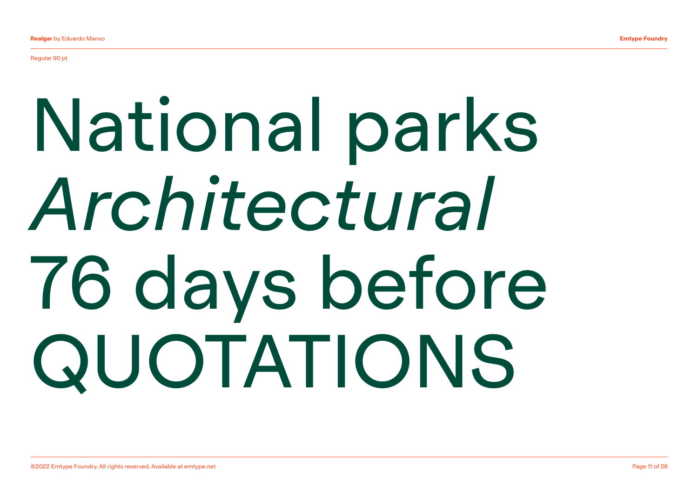Regular 90 pt

## National parks *Architectural* 76 days before QUOTATIONS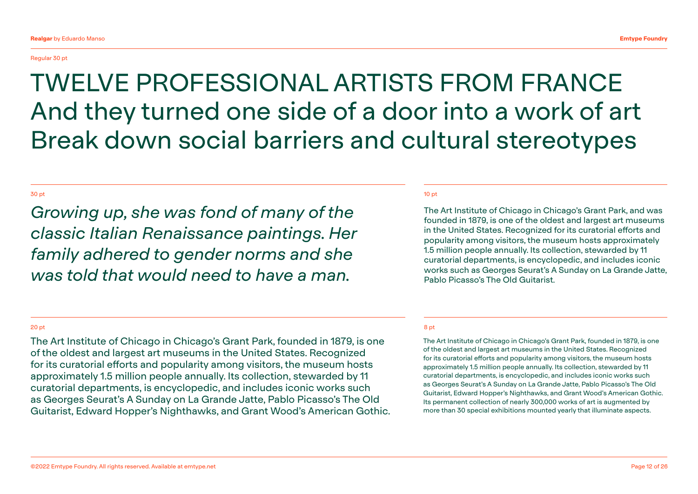## Regular 30 pt

## TWELVE PROFESSIONAL ARTISTS FROM FRANCE And they turned one side of a door into a work of art Break down social barriers and cultural stereotypes

## 30 pt 10 pt 10 pt 10 pt 10 pt 10 pt 10 pt 10 pt 10 pt 10 pt 10 pt 10 pt 10 pt 10 pt 10 pt 10 pt 10 pt 10 pt 10

*Growing up, she was fond of many of the classic Italian Renaissance paintings. Her family adhered to gender norms and she was told that would need to have a man.*

The Art Institute of Chicago in Chicago's Grant Park, and was founded in 1879, is one of the oldest and largest art museums in the United States. Recognized for its curatorial efforts and popularity among visitors, the museum hosts approximately 1.5 million people annually. Its collection, stewarded by 11 curatorial departments, is encyclopedic, and includes iconic works such as Georges Seurat's A Sunday on La Grande Jatte, Pablo Picasso's The Old Guitarist.

## 20 pt

The Art Institute of Chicago in Chicago's Grant Park, founded in 1879, is one of the oldest and largest art museums in the United States. Recognized for its curatorial efforts and popularity among visitors, the museum hosts approximately 1.5 million people annually. Its collection, stewarded by 11 curatorial departments, is encyclopedic, and includes iconic works such as Georges Seurat's A Sunday on La Grande Jatte, Pablo Picasso's The Old Guitarist, Edward Hopper's Nighthawks, and Grant Wood's American Gothic.

## 8 pt

The Art Institute of Chicago in Chicago's Grant Park, founded in 1879, is one of the oldest and largest art museums in the United States. Recognized for its curatorial efforts and popularity among visitors, the museum hosts approximately 1.5 million people annually. Its collection, stewarded by 11 curatorial departments, is encyclopedic, and includes iconic works such as Georges Seurat's A Sunday on La Grande Jatte, Pablo Picasso's The Old Guitarist, Edward Hopper's Nighthawks, and Grant Wood's American Gothic. Its permanent collection of nearly 300,000 works of art is augmented by more than 30 special exhibitions mounted yearly that illuminate aspects.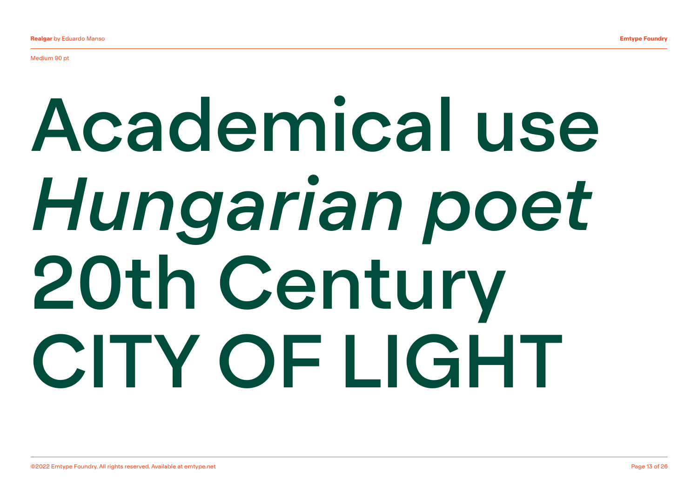Medium 90 pt

## Academical use *Hungarian poet* 20th Century CITY OF LIGHT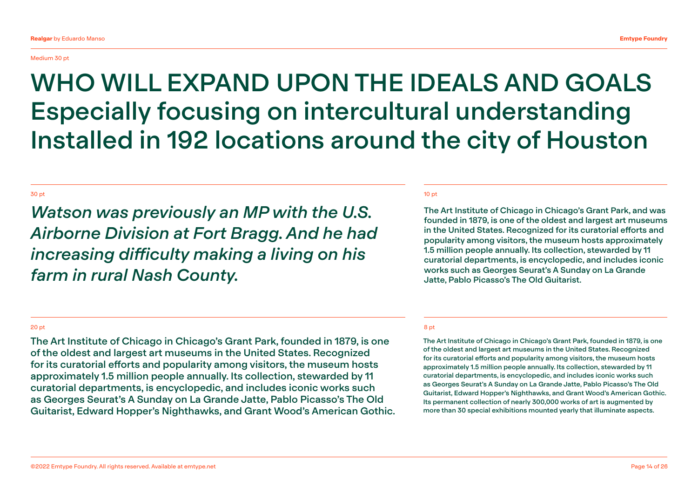## Medium 30 pt

## WHO WILL EXPAND UPON THE IDEALS AND GOALS Especially focusing on intercultural understanding Installed in 192 locations around the city of Houston

## 30 pt 10 pt 10 pt 10 pt 10 pt 10 pt 10 pt 10 pt 10 pt 10 pt 10 pt 10 pt 10 pt 10 pt 10 pt 10 pt 10 pt 10 pt 10

*Watson was previously an MP with the U.S. Airborne Division at Fort Bragg. And he had increasing difficulty making a living on his farm in rural Nash County.*

The Art Institute of Chicago in Chicago's Grant Park, and was founded in 1879, is one of the oldest and largest art museums in the United States. Recognized for its curatorial efforts and popularity among visitors, the museum hosts approximately 1.5 million people annually. Its collection, stewarded by 11 curatorial departments, is encyclopedic, and includes iconic works such as Georges Seurat's A Sunday on La Grande Jatte, Pablo Picasso's The Old Guitarist.

## 20 pt

The Art Institute of Chicago in Chicago's Grant Park, founded in 1879, is one of the oldest and largest art museums in the United States. Recognized for its curatorial efforts and popularity among visitors, the museum hosts approximately 1.5 million people annually. Its collection, stewarded by 11 curatorial departments, is encyclopedic, and includes iconic works such as Georges Seurat's A Sunday on La Grande Jatte, Pablo Picasso's The Old Guitarist, Edward Hopper's Nighthawks, and Grant Wood's American Gothic.

## 8 pt

The Art Institute of Chicago in Chicago's Grant Park, founded in 1879, is one of the oldest and largest art museums in the United States. Recognized for its curatorial efforts and popularity among visitors, the museum hosts approximately 1.5 million people annually. Its collection, stewarded by 11 curatorial departments, is encyclopedic, and includes iconic works such as Georges Seurat's A Sunday on La Grande Jatte, Pablo Picasso's The Old Guitarist, Edward Hopper's Nighthawks, and Grant Wood's American Gothic. Its permanent collection of nearly 300,000 works of art is augmented by more than 30 special exhibitions mounted yearly that illuminate aspects.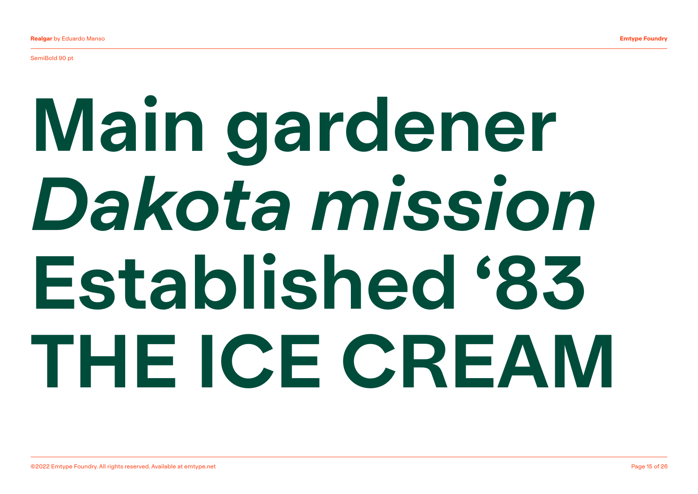SemiBold 90 pt

## Main gardener *Dakota mission*  Established '83 THE ICE CREAM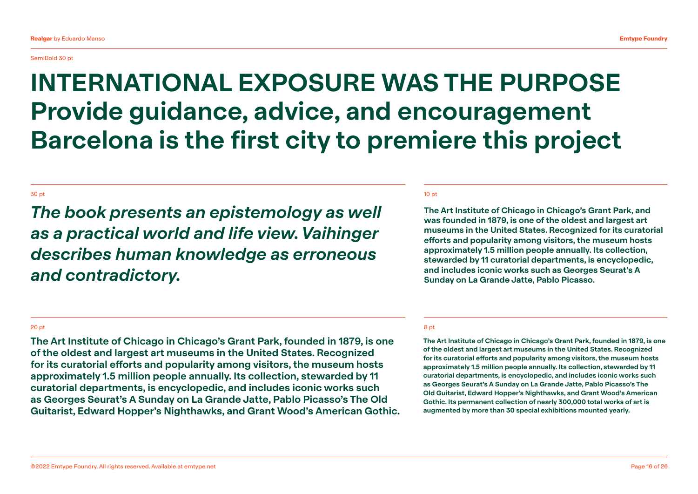## SemiBold 30 pt

## INTERNATIONAL EXPOSURE WAS THE PURPOSE Provide guidance, advice, and encouragement Barcelona is the first city to premiere this project

## 30 pt 10 pt 10 pt 10 pt 10 pt 10 pt 10 pt 10 pt 10 pt 10 pt 10 pt 10 pt 10 pt 10 pt 10 pt 10 pt 10 pt 10 pt 10

*The book presents an epistemology as well as a practical world and life view. Vaihinger describes human knowledge as erroneous and contradictory.*

The Art Institute of Chicago in Chicago's Grant Park, and was founded in 1879, is one of the oldest and largest art museums in the United States. Recognized for its curatorial efforts and popularity among visitors, the museum hosts approximately 1.5 million people annually. Its collection, stewarded by 11 curatorial departments, is encyclopedic, and includes iconic works such as Georges Seurat's A Sunday on La Grande Jatte, Pablo Picasso.

## 20 pt

The Art Institute of Chicago in Chicago's Grant Park, founded in 1879, is one of the oldest and largest art museums in the United States. Recognized for its curatorial efforts and popularity among visitors, the museum hosts approximately 1.5 million people annually. Its collection, stewarded by 11 curatorial departments, is encyclopedic, and includes iconic works such as Georges Seurat's A Sunday on La Grande Jatte, Pablo Picasso's The Old Guitarist, Edward Hopper's Nighthawks, and Grant Wood's American Gothic.

## 8 pt

The Art Institute of Chicago in Chicago's Grant Park, founded in 1879, is one of the oldest and largest art museums in the United States. Recognized for its curatorial efforts and popularity among visitors, the museum hosts approximately 1.5 million people annually. Its collection, stewarded by 11 curatorial departments, is encyclopedic, and includes iconic works such as Georges Seurat's A Sunday on La Grande Jatte, Pablo Picasso's The Old Guitarist, Edward Hopper's Nighthawks, and Grant Wood's American Gothic. Its permanent collection of nearly 300,000 total works of art is augmented by more than 30 special exhibitions mounted yearly.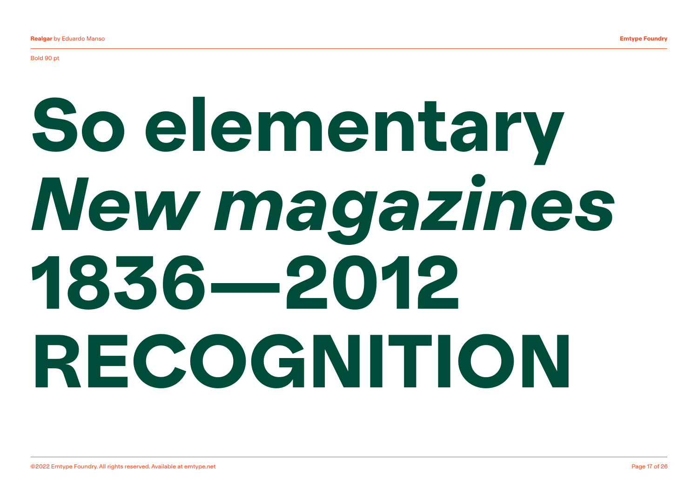## So elementary *New magazines* 1836—2012 RECOGNITION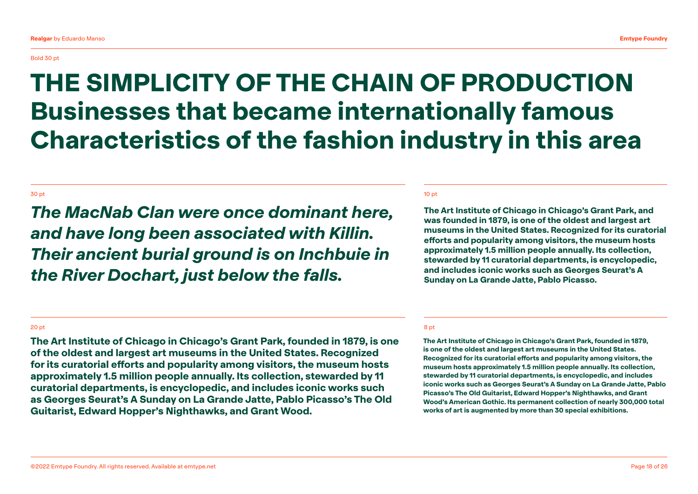## THE SIMPLICITY OF THE CHAIN OF PRODUCTION Businesses that became internationally famous Characteristics of the fashion industry in this area

## 30 pt 10 pt 10 pt 10 pt 10 pt 10 pt 10 pt 10 pt 10 pt 10 pt 10 pt 10 pt 10 pt 10 pt 10 pt 10 pt 10 pt 10 pt 10

*The MacNab Clan were once dominant here, and have long been associated with Killin. Their ancient burial ground is on Inchbuie in the River Dochart, just below the falls.*

The Art Institute of Chicago in Chicago's Grant Park, and was founded in 1879, is one of the oldest and largest art museums in the United States. Recognized for its curatorial efforts and popularity among visitors, the museum hosts approximately 1.5 million people annually. Its collection, stewarded by 11 curatorial departments, is encyclopedic, and includes iconic works such as Georges Seurat's A Sunday on La Grande Jatte, Pablo Picasso.

## 20 pt

The Art Institute of Chicago in Chicago's Grant Park, founded in 1879, is one of the oldest and largest art museums in the United States. Recognized for its curatorial efforts and popularity among visitors, the museum hosts approximately 1.5 million people annually. Its collection, stewarded by 11 curatorial departments, is encyclopedic, and includes iconic works such as Georges Seurat's A Sunday on La Grande Jatte, Pablo Picasso's The Old Guitarist, Edward Hopper's Nighthawks, and Grant Wood.

## 8 pt

The Art Institute of Chicago in Chicago's Grant Park, founded in 1879, is one of the oldest and largest art museums in the United States. Recognized for its curatorial efforts and popularity among visitors, the museum hosts approximately 1.5 million people annually. Its collection, stewarded by 11 curatorial departments, is encyclopedic, and includes iconic works such as Georges Seurat's A Sunday on La Grande Jatte, Pablo Picasso's The Old Guitarist, Edward Hopper's Nighthawks, and Grant Wood's American Gothic. Its permanent collection of nearly 300,000 total works of art is augmented by more than 30 special exhibitions.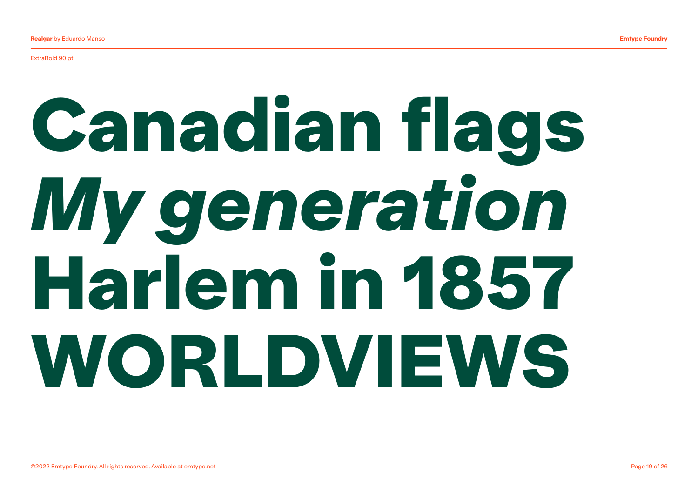ExtraBold 90 pt

## Canadian flags *My generation* Harlem in 1857 WORLDVIEWS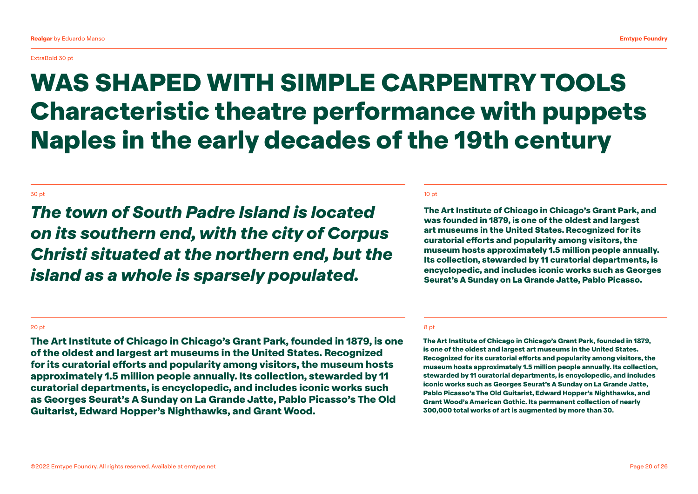ExtraBold 30 pt

## WAS SHAPED WITH SIMPLE CARPENTRY TOOLS Characteristic theatre performance with puppets Naples in the early decades of the 19th century

## 30 pt 10 pt 10 pt 10 pt 10 pt 10 pt 10 pt 10 pt 10 pt 10 pt 10 pt 10 pt 10 pt 10 pt 10 pt 10 pt 10 pt 10 pt 10

*The town of South Padre Island is located on its southern end, with the city of Corpus Christi situated at the northern end, but the island as a whole is sparsely populated.*

The Art Institute of Chicago in Chicago's Grant Park, and was founded in 1879, is one of the oldest and largest art museums in the United States. Recognized for its curatorial efforts and popularity among visitors, the museum hosts approximately 1.5 million people annually. Its collection, stewarded by 11 curatorial departments, is encyclopedic, and includes iconic works such as Georges Seurat's A Sunday on La Grande Jatte, Pablo Picasso.

## 20 pt

The Art Institute of Chicago in Chicago's Grant Park, founded in 1879, is one of the oldest and largest art museums in the United States. Recognized for its curatorial efforts and popularity among visitors, the museum hosts approximately 1.5 million people annually. Its collection, stewarded by 11 curatorial departments, is encyclopedic, and includes iconic works such as Georges Seurat's A Sunday on La Grande Jatte, Pablo Picasso's The Old Guitarist, Edward Hopper's Nighthawks, and Grant Wood.

## 8 pt

The Art Institute of Chicago in Chicago's Grant Park, founded in 1879, is one of the oldest and largest art museums in the United States. Recognized for its curatorial efforts and popularity among visitors, the museum hosts approximately 1.5 million people annually. Its collection, stewarded by 11 curatorial departments, is encyclopedic, and includes iconic works such as Georges Seurat's A Sunday on La Grande Jatte, Pablo Picasso's The Old Guitarist, Edward Hopper's Nighthawks, and Grant Wood's American Gothic. Its permanent collection of nearly 300,000 total works of art is augmented by more than 30.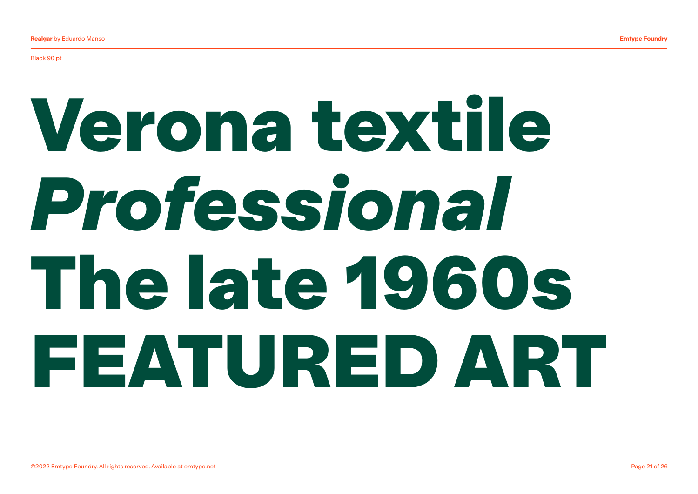Black 90 pt

## Verona textile *Professional* The late 1960s FEATURED ART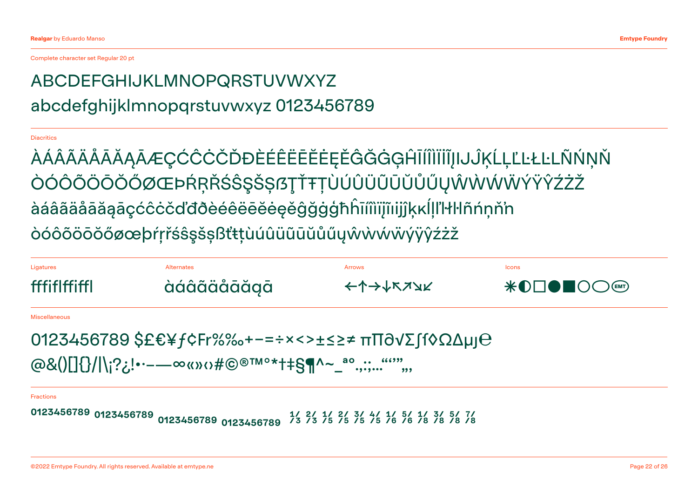Complete character set Regular 20 pt

## ABCDEFGHIJKLMNOPQRSTUVWXYZ abcdefghijklmnopqrstuvwxyz 0123456789

## **Diacritics**

ÀÁÂÃÄÅĀĂĄĀÆÇĆĈĊČĎĐÈÉÊËĒĔĔĘĚĜĞĠĢĤĪÍÎÌĨĬĨIJĴĶĹĻĽĿŁĿLÑŃŅŇ ÒÓÔÕÖÖŐØŒÞŔŖŘŚŜŞŠȘſSŢŤŦŢÙÚÛÜŨŨŨŮŰŮŴŴŴŴŸŶŶŹŻŽ àáâãäåāăąāçćĉċčďđðèéêëēĕėęěĝğġģħĥīíîìïįĩıijĵķĸĺļľŀł�ñńņň'n òóôõöōŏőøœþŕŗřśŝşšșßťŧțùúûüũūŭůűųŵẁẃẅýÿŷźżž

| Ligatures                                               | Alternates                                                                                                    | Arrows  | <b>Icons</b> |
|---------------------------------------------------------|---------------------------------------------------------------------------------------------------------------|---------|--------------|
| fffiflffiffl                                            | àáâãåāăăgā                                                                                                    | ←↑→↓ドィン |              |
| <b>Miscellaneous</b>                                    |                                                                                                               |         |              |
| 0123456789 \$£€¥ƒ¢Fr%‰+−=÷×<>±≤≥≠ πΠ∂νΣ∫f◊ΩΔμյ $\Theta$ |                                                                                                               |         |              |
| @&()[]{}/ \;?¿!•·-—∞«»‹›#©®™°*†‡§¶^~_ª°.,:;""",<br>,,,, |                                                                                                               |         |              |
| <b>Fractions</b>                                        |                                                                                                               |         |              |
|                                                         | 0123456789 0123456789 0123456789 0123456789 0123456789 0123456789 0123456789 0123456789 0123456789 0123456789 |         |              |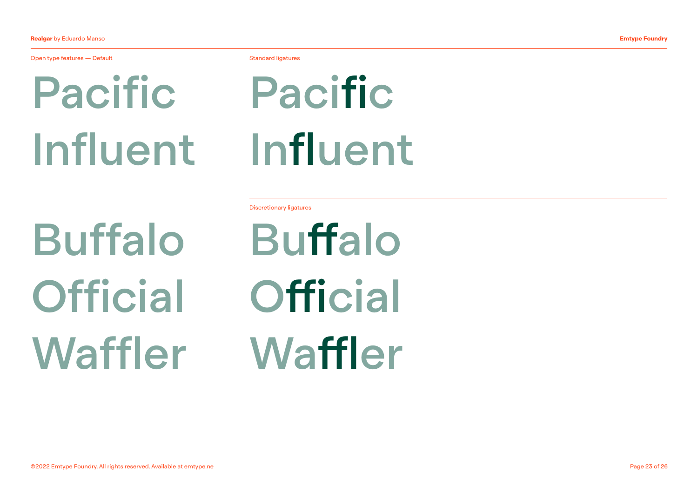Open type features — Default **Standard Ligatures According to the Standard ligatures** Standard ligatures

Pacific Influent

Buffalo **Official** Waffler

Pacific Influent

Discretionary ligatures

Buffalo **Official Waffler**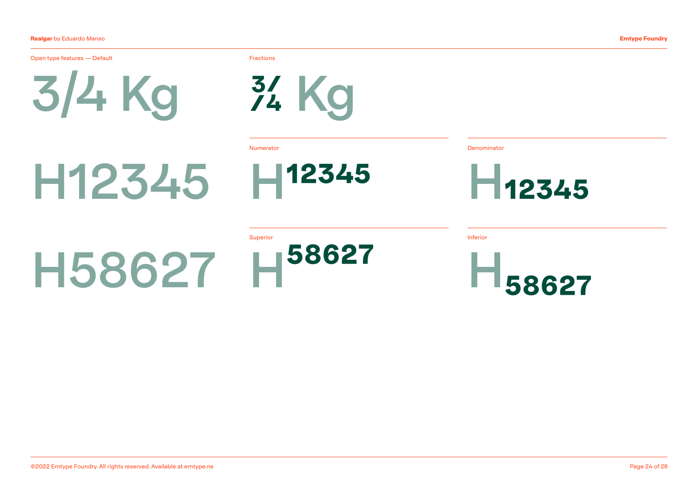## Realgar by Eduardo Manso

3/4 Kg Open type features — Default Fractions **Fractions** 

H12345

¾ Kg

Numerator Denominator



Superior 58627 H58627

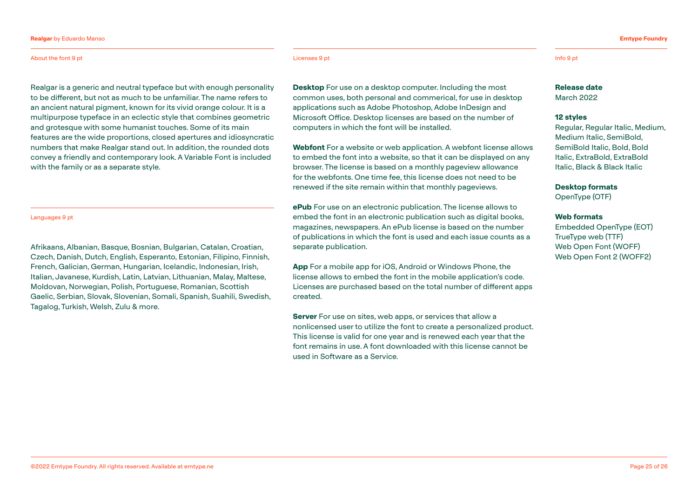## Realgar by Eduardo Manso

## About the font 9 pt Licenses 9 pt Info 9 pt

Realgar is a generic and neutral typeface but with enough personality to be different, but not as much to be unfamiliar. The name refers to an ancient natural pigment, known for its vivid orange colour. It is a multipurpose typeface in an eclectic style that combines geometric and grotesque with some humanist touches. Some of its main features are the wide proportions, closed apertures and idiosyncratic numbers that make Realgar stand out. In addition, the rounded dots convey a friendly and contemporary look. A Variable Font is included with the family or as a separate style.

## Languages 9 pt

Afrikaans, Albanian, Basque, Bosnian, Bulgarian, Catalan, Croatian, Czech, Danish, Dutch, English, Esperanto, Estonian, Filipino, Finnish, French, Galician, German, Hungarian, Icelandic, Indonesian, Irish, Italian, Javanese, Kurdish, Latin, Latvian, Lithuanian, Malay, Maltese, Moldovan, Norwegian, Polish, Portuguese, Romanian, Scottish Gaelic, Serbian, Slovak, Slovenian, Somali, Spanish, Suahili, Swedish, Tagalog, Turkish, Welsh, Zulu & more.

**Desktop** For use on a desktop computer. Including the most common uses, both personal and commerical, for use in desktop applications such as Adobe Photoshop, Adobe InDesign and Microsoft Office. Desktop licenses are based on the number of computers in which the font will be installed.

Webfont For a website or web application. A webfont license allows to embed the font into a website, so that it can be displayed on any browser. The license is based on a monthly pageview allowance for the webfonts. One time fee, this license does not need to be renewed if the site remain within that monthly pageviews.

ePub For use on an electronic publication. The license allows to embed the font in an electronic publication such as digital books, magazines, newspapers. An ePub license is based on the number of publications in which the font is used and each issue counts as a separate publication.

App For a mobile app for iOS, Android or Windows Phone, the license allows to embed the font in the mobile application's code. Licenses are purchased based on the total number of different apps created.

Server For use on sites, web apps, or services that allow a nonlicensed user to utilize the font to create a personalized product. This license is valid for one year and is renewed each year that the font remains in use. A font downloaded with this license cannot be used in Software as a Service.

Emtype Foundry

## Release date

March 2022

## 12 styles

Regular, Regular Italic, Medium, Medium Italic, SemiBold, SemiBold Italic, Bold, Bold Italic, ExtraBold, ExtraBold Italic, Black & Black Italic

Desktop formats

OpenType (OTF)

## Web formats

Embedded OpenType (EOT) TrueType web (TTF) [Web Open Font](https://ca.wikipedia.org/wiki/Web_Open_Font_Format) (WOFF) [Web Open Font](https://ca.wikipedia.org/wiki/Web_Open_Font_Format) 2 (WOFF2)